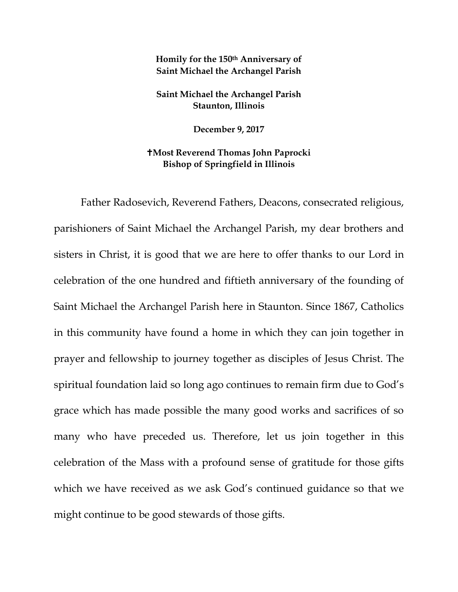## **Homily for the 150th Anniversary of Saint Michael the Archangel Parish**

**Saint Michael the Archangel Parish Staunton, Illinois**

**December 9, 2017**

## **Most Reverend Thomas John Paprocki Bishop of Springfield in Illinois**

Father Radosevich, Reverend Fathers, Deacons, consecrated religious, parishioners of Saint Michael the Archangel Parish, my dear brothers and sisters in Christ, it is good that we are here to offer thanks to our Lord in celebration of the one hundred and fiftieth anniversary of the founding of Saint Michael the Archangel Parish here in Staunton. Since 1867, Catholics in this community have found a home in which they can join together in prayer and fellowship to journey together as disciples of Jesus Christ. The spiritual foundation laid so long ago continues to remain firm due to God's grace which has made possible the many good works and sacrifices of so many who have preceded us. Therefore, let us join together in this celebration of the Mass with a profound sense of gratitude for those gifts which we have received as we ask God's continued guidance so that we might continue to be good stewards of those gifts.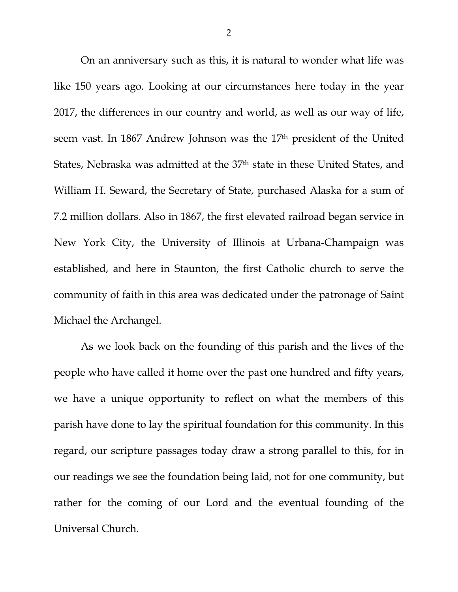On an anniversary such as this, it is natural to wonder what life was like 150 years ago. Looking at our circumstances here today in the year 2017, the differences in our country and world, as well as our way of life, seem vast. In 1867 Andrew Johnson was the 17<sup>th</sup> president of the United States, Nebraska was admitted at the 37<sup>th</sup> state in these United States, and William H. Seward, the Secretary of State, purchased Alaska for a sum of 7.2 million dollars. Also in 1867, the first elevated railroad began service in New York City, the University of Illinois at Urbana-Champaign was established, and here in Staunton, the first Catholic church to serve the community of faith in this area was dedicated under the patronage of Saint Michael the Archangel.

As we look back on the founding of this parish and the lives of the people who have called it home over the past one hundred and fifty years, we have a unique opportunity to reflect on what the members of this parish have done to lay the spiritual foundation for this community. In this regard, our scripture passages today draw a strong parallel to this, for in our readings we see the foundation being laid, not for one community, but rather for the coming of our Lord and the eventual founding of the Universal Church.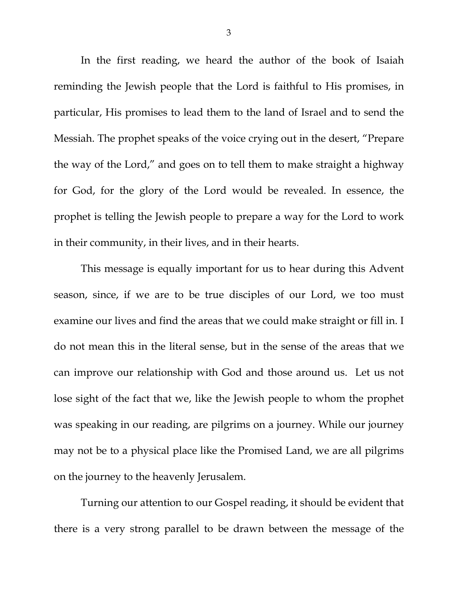In the first reading, we heard the author of the book of Isaiah reminding the Jewish people that the Lord is faithful to His promises, in particular, His promises to lead them to the land of Israel and to send the Messiah. The prophet speaks of the voice crying out in the desert, "Prepare the way of the Lord," and goes on to tell them to make straight a highway for God, for the glory of the Lord would be revealed. In essence, the prophet is telling the Jewish people to prepare a way for the Lord to work in their community, in their lives, and in their hearts.

This message is equally important for us to hear during this Advent season, since, if we are to be true disciples of our Lord, we too must examine our lives and find the areas that we could make straight or fill in. I do not mean this in the literal sense, but in the sense of the areas that we can improve our relationship with God and those around us. Let us not lose sight of the fact that we, like the Jewish people to whom the prophet was speaking in our reading, are pilgrims on a journey. While our journey may not be to a physical place like the Promised Land, we are all pilgrims on the journey to the heavenly Jerusalem.

Turning our attention to our Gospel reading, it should be evident that there is a very strong parallel to be drawn between the message of the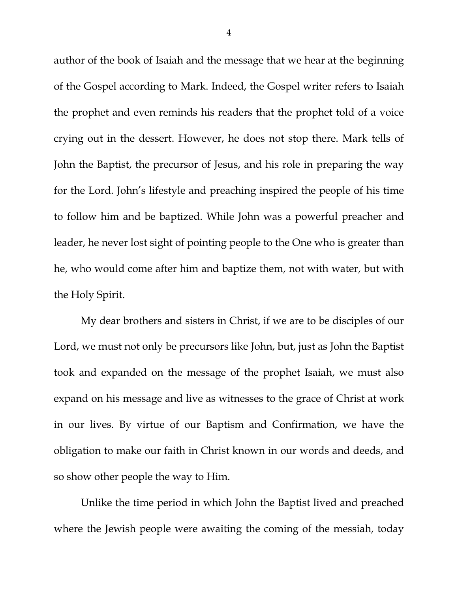author of the book of Isaiah and the message that we hear at the beginning of the Gospel according to Mark. Indeed, the Gospel writer refers to Isaiah the prophet and even reminds his readers that the prophet told of a voice crying out in the dessert. However, he does not stop there. Mark tells of John the Baptist, the precursor of Jesus, and his role in preparing the way for the Lord. John's lifestyle and preaching inspired the people of his time to follow him and be baptized. While John was a powerful preacher and leader, he never lost sight of pointing people to the One who is greater than he, who would come after him and baptize them, not with water, but with the Holy Spirit.

My dear brothers and sisters in Christ, if we are to be disciples of our Lord, we must not only be precursors like John, but, just as John the Baptist took and expanded on the message of the prophet Isaiah, we must also expand on his message and live as witnesses to the grace of Christ at work in our lives. By virtue of our Baptism and Confirmation, we have the obligation to make our faith in Christ known in our words and deeds, and so show other people the way to Him.

Unlike the time period in which John the Baptist lived and preached where the Jewish people were awaiting the coming of the messiah, today

4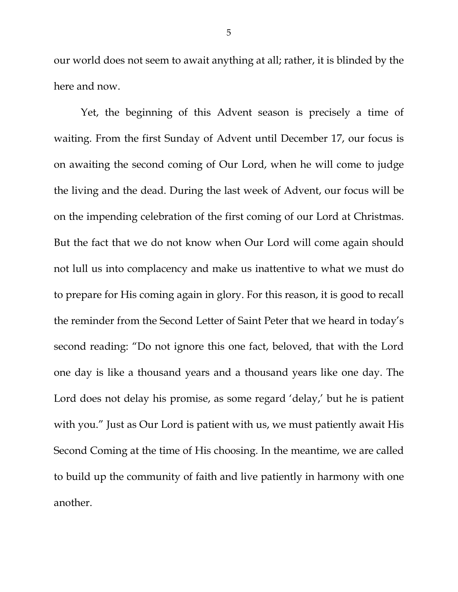our world does not seem to await anything at all; rather, it is blinded by the here and now.

Yet, the beginning of this Advent season is precisely a time of waiting. From the first Sunday of Advent until December 17, our focus is on awaiting the second coming of Our Lord, when he will come to judge the living and the dead. During the last week of Advent, our focus will be on the impending celebration of the first coming of our Lord at Christmas. But the fact that we do not know when Our Lord will come again should not lull us into complacency and make us inattentive to what we must do to prepare for His coming again in glory. For this reason, it is good to recall the reminder from the Second Letter of Saint Peter that we heard in today's second reading: "Do not ignore this one fact, beloved, that with the Lord one day is like a thousand years and a thousand years like one day. The Lord does not delay his promise, as some regard 'delay,' but he is patient with you." Just as Our Lord is patient with us, we must patiently await His Second Coming at the time of His choosing. In the meantime, we are called to build up the community of faith and live patiently in harmony with one another.